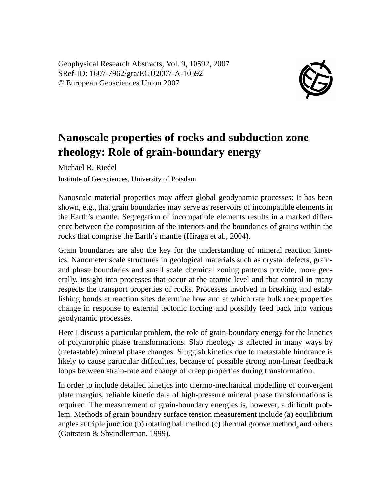Geophysical Research Abstracts, Vol. 9, 10592, 2007 SRef-ID: 1607-7962/gra/EGU2007-A-10592 © European Geosciences Union 2007



## **Nanoscale properties of rocks and subduction zone rheology: Role of grain-boundary energy**

Michael R. Riedel

Institute of Geosciences, University of Potsdam

Nanoscale material properties may affect global geodynamic processes: It has been shown, e.g., that grain boundaries may serve as reservoirs of incompatible elements in the Earth's mantle. Segregation of incompatible elements results in a marked difference between the composition of the interiors and the boundaries of grains within the rocks that comprise the Earth's mantle (Hiraga et al., 2004).

Grain boundaries are also the key for the understanding of mineral reaction kinetics. Nanometer scale structures in geological materials such as crystal defects, grainand phase boundaries and small scale chemical zoning patterns provide, more generally, insight into processes that occur at the atomic level and that control in many respects the transport properties of rocks. Processes involved in breaking and establishing bonds at reaction sites determine how and at which rate bulk rock properties change in response to external tectonic forcing and possibly feed back into various geodynamic processes.

Here I discuss a particular problem, the role of grain-boundary energy for the kinetics of polymorphic phase transformations. Slab rheology is affected in many ways by (metastable) mineral phase changes. Sluggish kinetics due to metastable hindrance is likely to cause particular difficulties, because of possible strong non-linear feedback loops between strain-rate and change of creep properties during transformation.

In order to include detailed kinetics into thermo-mechanical modelling of convergent plate margins, reliable kinetic data of high-pressure mineral phase transformations is required. The measurement of grain-boundary energies is, however, a difficult problem. Methods of grain boundary surface tension measurement include (a) equilibrium angles at triple junction (b) rotating ball method (c) thermal groove method, and others (Gottstein & Shvindlerman, 1999).